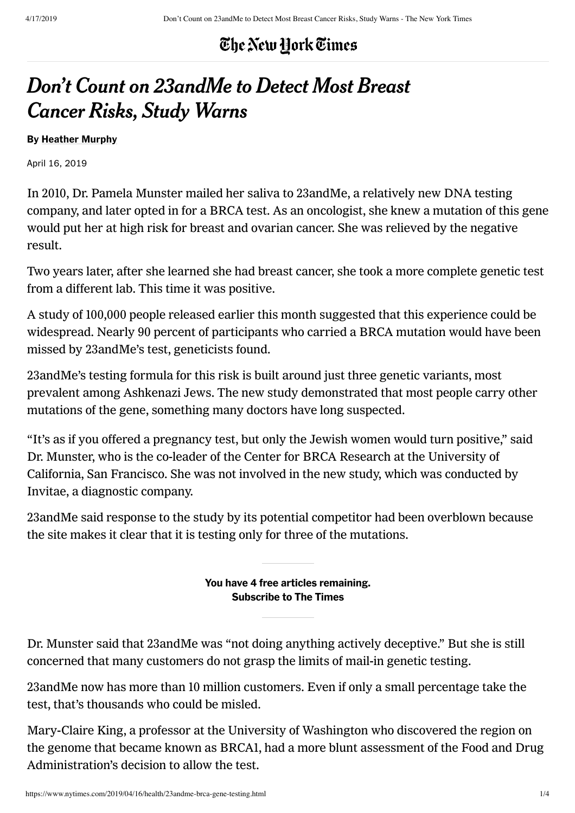#### The New York Times

# Don't Count on 23andMe to Detect Most Breast Cancer Risks, Study Warns

#### By Heather Murphy

April 16, 2019

In 2010, Dr. Pamela Munster mailed her saliva to 23andMe, a relatively new DNA testing company, and later opted in for a BRCA test. As an oncologist, she knew a mutation of this gene would put her at high risk for breast and ovarian cancer. She was relieved by the negative result.

Two years later, after she learned she had breast cancer, she took a more complete genetic test from a different lab. This time it was positive.

A study of 100,000 people released earlier this month suggested that this experience could be widespread. Nearly 90 percent of participants who carried a BRCA mutation would have been missed by 23andMe's test, geneticists found.

23andMe's testing formula for this risk is built around just three genetic variants, most prevalent among Ashkenazi Jews. The new study demonstrated that most people carry other mutations of the gene, something many doctors have long suspected.

"It's as if you offered a pregnancy test, but only the Jewish women would turn positive," said Dr. Munster, who is the co-leader of the Center for BRCA Research at the University of California, San Francisco. She was not involved in the new study, which was conducted by Invitae, a diagnostic company.

23andMe said response to the study by its potential competitor had been overblown because the site makes it clear that it is testing only for three of the mutations.

> You have 4 free articles remaining. Subscribe to The Times

Dr. Munster said that 23andMe was "not doing anything actively deceptive." But she is still concerned that many customers do not grasp the limits of mail‑in genetic testing.

23andMe now has more than 10 million customers. Even if only a small percentage take the test, that's thousands who could be misled.

Mary‑Claire King, a professor at the University of Washington who discovered the region on the genome that became known as BRCA1, had a more blunt assessment of the Food and Drug Administration's decision to allow the test.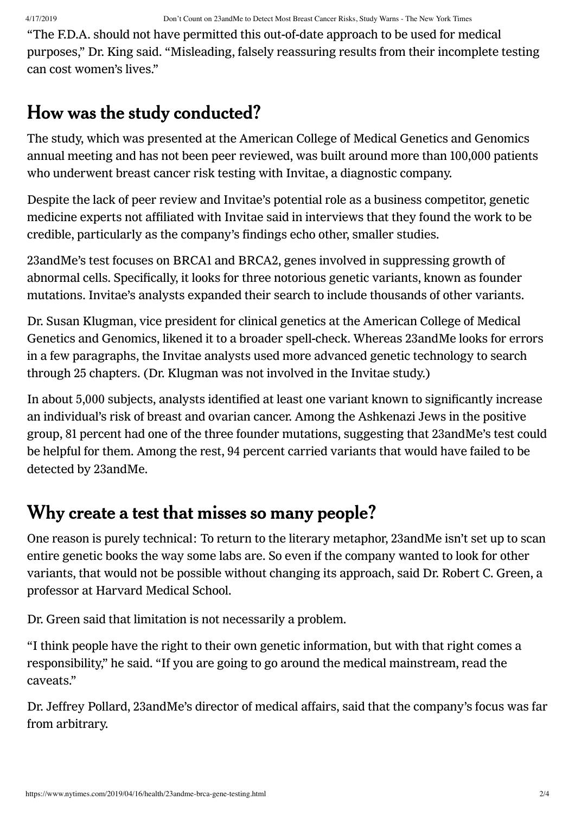"The F.D.A. should not have permitted this out‑of‑date approach to be used for medical purposes," Dr. King said. "Misleading, falsely reassuring results from their incomplete testing can cost women's lives."

### How was the study conducted?

The study, which was presented at the American College of Medical Genetics and Genomics annual meeting and has not been peer reviewed, was built around more than 100,000 patients who underwent breast cancer risk testing with Invitae, a diagnostic company.

Despite the lack of peer review and Invitae's potential role as a business competitor, genetic medicine experts not affiliated with Invitae said in interviews that they found the work to be credible, particularly as the company's findings echo other, smaller studies.

23andMe's test focuses on BRCA1 and BRCA2, genes involved in suppressing growth of abnormal cells. Specifically, it looks for three notorious genetic variants, known as founder mutations. Invitae's analysts expanded their search to include thousands of other variants.

Dr. Susan Klugman, vice president for clinical genetics at the American College of Medical Genetics and Genomics, likened it to a broader spell‑check. Whereas 23andMe looks for errors in a few paragraphs, the Invitae analysts used more advanced genetic technology to search through 25 chapters. (Dr. Klugman was not involved in the Invitae study.)

In about 5,000 subjects, analysts identified at least one variant known to significantly increase an individual's risk of breast and ovarian cancer. Among the Ashkenazi Jews in the positive group, 81 percent had one of the three founder mutations, suggesting that 23andMe's test could be helpful for them. Among the rest, 94 percent carried variants that would have failed to be detected by 23andMe.

### Why create a test that misses so many people?

One reason is purely technical: To return to the literary metaphor, 23andMe isn't set up to scan entire genetic books the way some labs are. So even if the company wanted to look for other variants, that would not be possible without changing its approach, said Dr. Robert C. Green, a professor at Harvard Medical School.

Dr. Green said that limitation is not necessarily a problem.

"I think people have the right to their own genetic information, but with that right comes a responsibility," he said. "If you are going to go around the medical mainstream, read the caveats."

Dr. Jeffrey Pollard, 23andMe's director of medical affairs, said that the company's focus was far from arbitrary.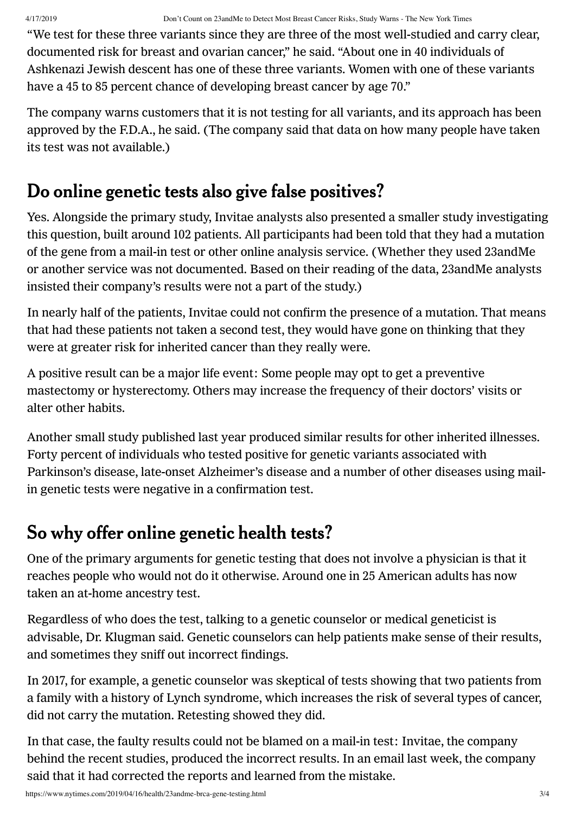4/17/2019 Don't Count on 23andMe to Detect Most Breast Cancer Risks, Study Warns - The New York Times

"We test for these three variants since they are three of the most well‑studied and carry clear, documented risk for breast and ovarian cancer," he said. "About one in 40 individuals of Ashkenazi Jewish descent has one of these three variants. Women with one of these variants have a 45 to 85 percent chance of developing breast cancer by age 70."

The company warns customers that it is not testing for all variants, and its approach has been approved by the F.D.A., he said. (The company said that data on how many people have taken its test was not available.)

### Do online genetic tests also give false positives?

Yes. Alongside the primary study, Invitae analysts also presented a smaller study investigating this question, built around 102 patients. All participants had been told that they had a mutation of the gene from a mail‑in test or other online analysis service. (Whether they used 23andMe or another service was not documented. Based on their reading of the data, 23andMe analysts insisted their company's results were not a part of the study.)

In nearly half of the patients, Invitae could not confirm the presence of a mutation. That means that had these patients not taken a second test, they would have gone on thinking that they were at greater risk for inherited cancer than they really were.

A positive result can be a major life event: Some people may opt to get a preventive mastectomy or hysterectomy. Others may increase the frequency of their doctors' visits or alter other habits.

Another small study published last year produced similar results for other inherited illnesses. Forty percent of individuals who tested positive for genetic variants associated with Parkinson's disease, late-onset Alzheimer's disease and a number of other diseases using mailin genetic tests were negative in a confirmation test.

## So why offer online genetic health tests?

One of the primary arguments for genetic testing that does not involve a physician is that it reaches people who would not do it otherwise. Around one in 25 American adults has now taken an at-home ancestry test.

Regardless of who does the test, talking to a genetic counselor or medical geneticist is advisable, Dr. Klugman said. Genetic counselors can help patients make sense of their results, and sometimes they sniff out incorrect findings.

In 2017, for example, a genetic counselor was skeptical of tests showing that two patients from a family with a history of Lynch syndrome, which increases the risk of several types of cancer, did not carry the mutation. Retesting showed they did.

In that case, the faulty results could not be blamed on a mail‑in test: Invitae, the company behind the recent studies, produced the incorrect results. In an email last week, the company said that it had corrected the reports and learned from the mistake.